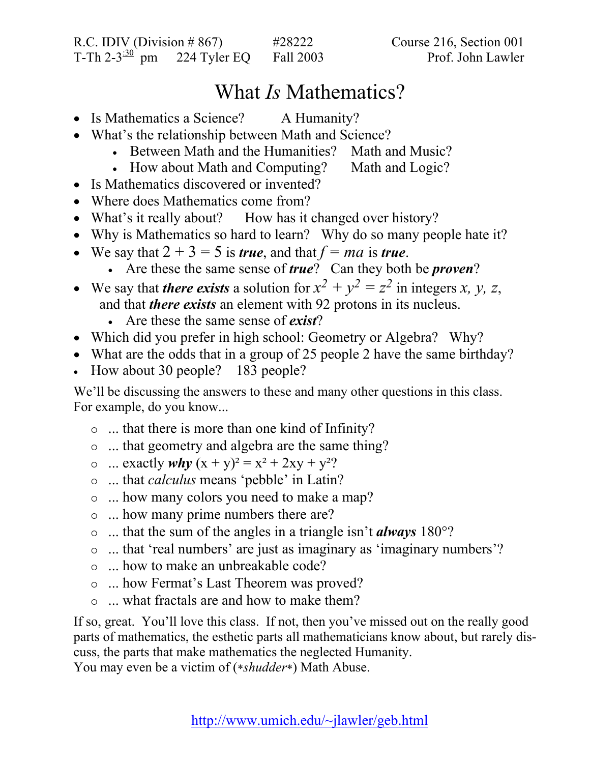## What *Is* Mathematics?

- Is Mathematics a Science? A Humanity?
- What's the relationship between Math and Science?
	- Between Math and the Humanities? Math and Music?
		- How about Math and Computing? Math and Logic?
- Is Mathematics discovered or invented?
- Where does Mathematics come from?
- What's it really about? How has it changed over history?
- Why is Mathematics so hard to learn? Why do so many people hate it?
- We say that  $2 + 3 = 5$  is *true*, and that  $f = ma$  is *true*.
	- Are these the same sense of *true*? Can they both be *proven*?
- We say that *there exists* a solution for  $x^2 + y^2 = z^2$  in integers *x*, *y*, *z*, and that *there exists* an element with 92 protons in its nucleus.
	- Are these the same sense of *exist*?
- Which did you prefer in high school: Geometry or Algebra? Why?
- What are the odds that in a group of 25 people 2 have the same birthday?
- How about 30 people? 183 people?

We'll be discussing the answers to these and many other questions in this class. For example, do you know...

- $\circ$  ... that there is more than one kind of Infinity?
- $\circ$  ... that geometry and algebra are the same thing?
- $\infty$  ... exactly *why*  $(x + y)^2 = x^2 + 2xy + y^2$ ?
- { ... that *calculus* means 'pebble' in Latin?
- $\circ$  ... how many colors you need to make a map?
- $\circ$  ... how many prime numbers there are?
- { ... that the sum of the angles in a triangle isn't *always* 180°?
- $\circ$  ... that 'real numbers' are just as imaginary as 'imaginary numbers'?
- $\circ$  ... how to make an unbreakable code?
- $\circ$  ... how Fermat's Last Theorem was proved?
- $\circ$  ... what fractals are and how to make them?

If so, great. You'll love this class. If not, then you've missed out on the really good parts of mathematics, the esthetic parts all mathematicians know about, but rarely discuss, the parts that make mathematics the neglected Humanity.

You may even be a victim of (\**shudder*\*) Math Abuse.